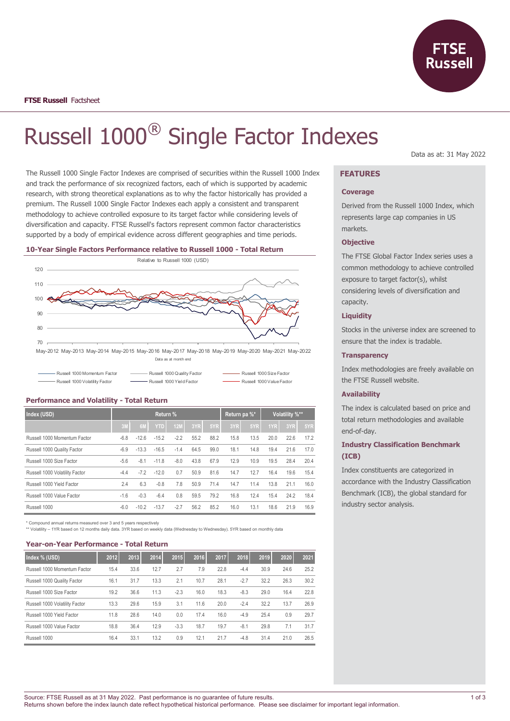

# Russell 1000® Single Factor Indexes

The Russell 1000 Single Factor Indexes are comprised of securities within the Russell 1000 Index and track the performance of six recognized factors, each of which is supported by academic research, with strong theoretical explanations as to why the factor historically has provided a premium. The Russell 1000 Single Factor Indexes each apply a consistent and transparent methodology to achieve controlled exposure to its target factor while considering levels of diversification and capacity. FTSE Russell's factors represent common factor characteristics supported by a body of empirical evidence across different geographies and time periods.

#### **10-Year Single Factors Performance relative to Russell 1000 - Total Return**



Russell 1000 Momentum Factor Russell 1000 Quality Factor Russell 1000 Size Factor Russell 1000 Volatility Factor **Russell 1000 Yield Factor** Russell 1000 Value Factor Russell 1000 Value Factor

# **Performance and Volatility - Total Return**

| Index (USD)                    | Return % |                |            |            |      | Return pa %* |      | Volatility %** |      |      |      |
|--------------------------------|----------|----------------|------------|------------|------|--------------|------|----------------|------|------|------|
|                                | 3M       | 6 <sub>M</sub> | <b>YTD</b> | <b>12M</b> | 3YR  | 5YR          | 3YR  | 5YR            | 1YR  | 3YR  | 5YR  |
| Russell 1000 Momentum Factor   | $-6.8$   | $-12.6$        | $-15.2$    | $-2.2$     | 55.2 | 88.2         | 15.8 | 13.5           | 20.0 | 22.6 | 17.2 |
| Russell 1000 Quality Factor    | $-6.9$   | $-13.3$        | $-16.5$    | $-1.4$     | 64.5 | 99.0         | 18.1 | 14.8           | 19.4 | 21.6 | 17.0 |
| Russell 1000 Size Factor       | $-5.6$   | $-8.1$         | $-11.8$    | $-8.0$     | 43.8 | 67.9         | 12.9 | 10.9           | 19.5 | 28.4 | 20.4 |
| Russell 1000 Volatility Factor | $-4.4$   | $-7.2$         | $-12.0$    | 0.7        | 50.9 | 81.6         | 14.7 | 12.7           | 16.4 | 19.6 | 15.4 |
| Russell 1000 Yield Factor      | 2.4      | 6.3            | $-0.8$     | 7.8        | 50.9 | 71.4         | 14.7 | 11.4           | 13.8 | 21.1 | 16.0 |
| Russell 1000 Value Factor      | $-1.6$   | $-0.3$         | $-6.4$     | 0.8        | 59.5 | 79.2         | 16.8 | 12.4           | 15.4 | 24.2 | 18.4 |
| Russell 1000                   | $-6.0$   | $-10.2$        | $-13.7$    | $-2.7$     | 56.2 | 85.2         | 16.0 | 13.1           | 18.6 | 21.9 | 16.9 |

\* Compound annual returns measured over 3 and 5 years respectively

\*\* Volatility – 1YR based on 12 months daily data. 3YR based on weekly data (Wednesday to Wednesday). 5YR based on monthly data

#### **Year-on-Year Performance - Total Return**

| Index % (USD)                  | 2012 | 2013 | 2014 | 2015   | 2016 | 2017 | 2018   | 2019 | 2020 | 2021 |
|--------------------------------|------|------|------|--------|------|------|--------|------|------|------|
| Russell 1000 Momentum Factor   | 15.4 | 33.6 | 12.7 | 2.7    | 7.9  | 22.8 | $-4.4$ | 30.9 | 24.6 | 25.2 |
| Russell 1000 Quality Factor    | 16.1 | 31.7 | 13.3 | 2.1    | 10.7 | 28.1 | $-2.7$ | 32.2 | 26.3 | 30.2 |
| Russell 1000 Size Factor       | 19.2 | 36.6 | 11.3 | $-2.3$ | 16.0 | 18.3 | $-8.3$ | 29.0 | 16.4 | 22.8 |
| Russell 1000 Volatility Factor | 13.3 | 29.6 | 15.9 | 3.1    | 11.6 | 20.0 | $-2.4$ | 32.2 | 13.7 | 26.9 |
| Russell 1000 Yield Factor      | 11.8 | 28.6 | 14.0 | 0.0    | 17.4 | 16.0 | $-4.9$ | 25.4 | 0.9  | 29.7 |
| Russell 1000 Value Factor      | 18.8 | 36.4 | 12.9 | $-3.3$ | 18.7 | 19.7 | $-8.1$ | 29.8 | 7.1  | 31.7 |
| Russell 1000                   | 16.4 | 33.1 | 13.2 | 0.9    | 12.1 | 21.7 | $-4.8$ | 31.4 | 21.0 | 26.5 |

Data as at: 31 May 2022

# **FEATURES**

### **Coverage**

Derived from the Russell 1000 Index, which represents large cap companies in US markets.

### **Objective**

The FTSE Global Factor Index series uses a common methodology to achieve controlled exposure to target factor(s), whilst considering levels of diversification and capacity.

# **Liquidity**

Stocks in the universe index are screened to ensure that the index is tradable.

#### **Transparency**

Index methodologies are freely available on the FTSE Russell website.

# **Availability**

The index is calculated based on price and total return methodologies and available end-of-day.

# **Industry Classification Benchmark (ICB)**

Index constituents are categorized in accordance with the Industry Classification Benchmark (ICB), the global standard for industry sector analysis.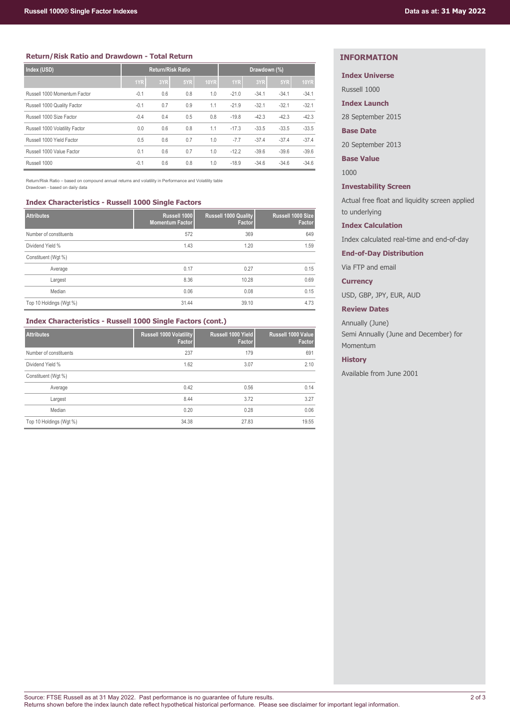# **Return/Risk Ratio and Drawdown - Total Return**

| Index (USD)                    | <b>Return/Risk Ratio</b> |     |     | Drawdown (%) |         |         |         |             |
|--------------------------------|--------------------------|-----|-----|--------------|---------|---------|---------|-------------|
|                                | 1YR                      | 3YR | 5YR | <b>10YR</b>  | 1YR     | 3YR     | 5YR     | <b>10YR</b> |
| Russell 1000 Momentum Factor   | $-0.1$                   | 0.6 | 0.8 | 1.0          | $-21.0$ | $-34.1$ | $-34.1$ | $-34.1$     |
| Russell 1000 Quality Factor    | $-0.1$                   | 0.7 | 0.9 | 1.1          | $-21.9$ | $-32.1$ | $-32.1$ | $-32.1$     |
| Russell 1000 Size Factor       | $-0.4$                   | 0.4 | 0.5 | 0.8          | $-19.8$ | $-42.3$ | $-42.3$ | $-42.3$     |
| Russell 1000 Volatility Factor | 0.0                      | 0.6 | 0.8 | 1.1          | $-17.3$ | $-33.5$ | $-33.5$ | $-33.5$     |
| Russell 1000 Yield Factor      | 0.5                      | 0.6 | 0.7 | 1.0          | $-7.7$  | $-37.4$ | $-37.4$ | $-37.4$     |
| Russell 1000 Value Factor      | 0.1                      | 0.6 | 0.7 | 1.0          | $-12.2$ | $-39.6$ | $-39.6$ | $-39.6$     |
| Russell 1000                   | $-0.1$                   | 0.6 | 0.8 | 1.0          | $-18.9$ | $-34.6$ | $-34.6$ | $-34.6$     |

Return/Risk Ratio – based on compound annual returns and volatility in Performance and Volatility table Drawdown - based on daily data

#### **Index Characteristics - Russell 1000 Single Factors**

| <b>Attributes</b>       | Russell 1000<br><b>Momentum Factor</b> | <b>Russell 1000 Quality</b><br>Factor | Russell 1000 Size<br>Factor |
|-------------------------|----------------------------------------|---------------------------------------|-----------------------------|
| Number of constituents  | 572                                    | 369                                   | 649                         |
| Dividend Yield %        | 1.43                                   | 1.20                                  | 1.59                        |
| Constituent (Wgt %)     |                                        |                                       |                             |
| Average                 | 0.17                                   | 0.27                                  | 0.15                        |
| Largest                 | 8.36                                   | 10.28                                 | 0.69                        |
| Median                  | 0.06                                   | 0.08                                  | 0.15                        |
| Top 10 Holdings (Wgt %) | 31.44                                  | 39.10                                 | 4.73                        |

# **Index Characteristics - Russell 1000 Single Factors (cont.)**

| <b>Attributes</b>       | Russell 1000 Volatility<br>Factor | Russell 1000 Yield<br>Factor | Russell 1000 Value<br>Factor |
|-------------------------|-----------------------------------|------------------------------|------------------------------|
| Number of constituents  | 237                               | 179                          | 691                          |
| Dividend Yield %        | 1.62                              | 3.07                         | 2.10                         |
| Constituent (Wgt %)     |                                   |                              |                              |
| Average                 | 0.42                              | 0.56                         | 0.14                         |
| Largest                 | 8.44                              | 3.72                         | 3.27                         |
| Median                  | 0.20                              | 0.28                         | 0.06                         |
| Top 10 Holdings (Wgt %) | 34.38                             | 27.83                        | 19.55                        |

# **INFORMATION**

# **Index Universe**

Russell 1000

**Index Launch**

28 September 2015

# **Base Date**

20 September 2013

**Base Value**

1000

# **Investability Screen**

Actual free float and liquidity screen applied to underlying

# **Index Calculation**

Index calculated real-time and end-of-day

**End-of-Day Distribution**

Via FTP and email

# **Currency**

USD, GBP, JPY, EUR, AUD

# **Review Dates**

Annually (June) Semi Annually (June and December) for Momentum

### **History**

Available from June 2001